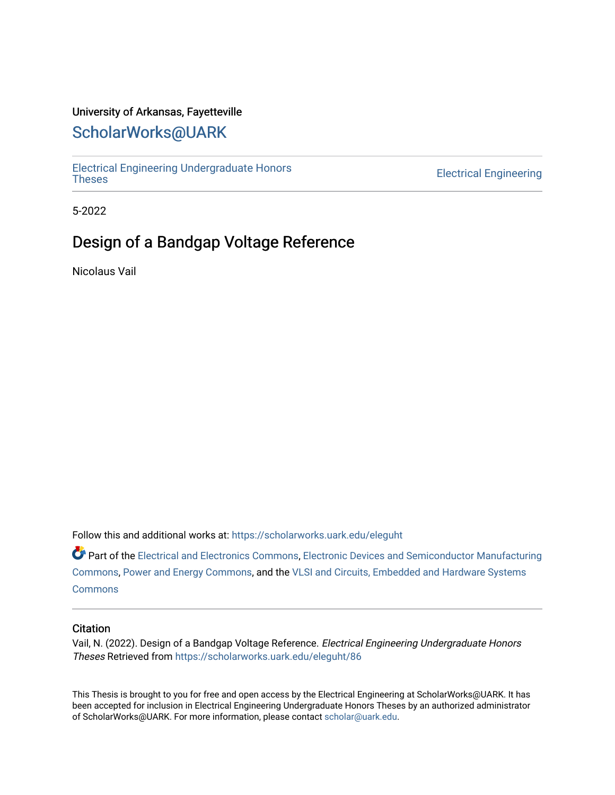# University of Arkansas, Fayetteville

# [ScholarWorks@UARK](https://scholarworks.uark.edu/)

[Electrical Engineering Undergraduate Honors](https://scholarworks.uark.edu/eleguht) 

**Electrical Engineering** 

5-2022

# Design of a Bandgap Voltage Reference

Nicolaus Vail

Follow this and additional works at: [https://scholarworks.uark.edu/eleguht](https://scholarworks.uark.edu/eleguht?utm_source=scholarworks.uark.edu%2Feleguht%2F86&utm_medium=PDF&utm_campaign=PDFCoverPages)

Part of the [Electrical and Electronics Commons](http://network.bepress.com/hgg/discipline/270?utm_source=scholarworks.uark.edu%2Feleguht%2F86&utm_medium=PDF&utm_campaign=PDFCoverPages), [Electronic Devices and Semiconductor Manufacturing](http://network.bepress.com/hgg/discipline/272?utm_source=scholarworks.uark.edu%2Feleguht%2F86&utm_medium=PDF&utm_campaign=PDFCoverPages)  [Commons](http://network.bepress.com/hgg/discipline/272?utm_source=scholarworks.uark.edu%2Feleguht%2F86&utm_medium=PDF&utm_campaign=PDFCoverPages), [Power and Energy Commons,](http://network.bepress.com/hgg/discipline/274?utm_source=scholarworks.uark.edu%2Feleguht%2F86&utm_medium=PDF&utm_campaign=PDFCoverPages) and the [VLSI and Circuits, Embedded and Hardware Systems](http://network.bepress.com/hgg/discipline/277?utm_source=scholarworks.uark.edu%2Feleguht%2F86&utm_medium=PDF&utm_campaign=PDFCoverPages) **[Commons](http://network.bepress.com/hgg/discipline/277?utm_source=scholarworks.uark.edu%2Feleguht%2F86&utm_medium=PDF&utm_campaign=PDFCoverPages)** 

#### **Citation**

Vail, N. (2022). Design of a Bandgap Voltage Reference. Electrical Engineering Undergraduate Honors Theses Retrieved from [https://scholarworks.uark.edu/eleguht/86](https://scholarworks.uark.edu/eleguht/86?utm_source=scholarworks.uark.edu%2Feleguht%2F86&utm_medium=PDF&utm_campaign=PDFCoverPages)

This Thesis is brought to you for free and open access by the Electrical Engineering at ScholarWorks@UARK. It has been accepted for inclusion in Electrical Engineering Undergraduate Honors Theses by an authorized administrator of ScholarWorks@UARK. For more information, please contact [scholar@uark.edu.](mailto:scholar@uark.edu)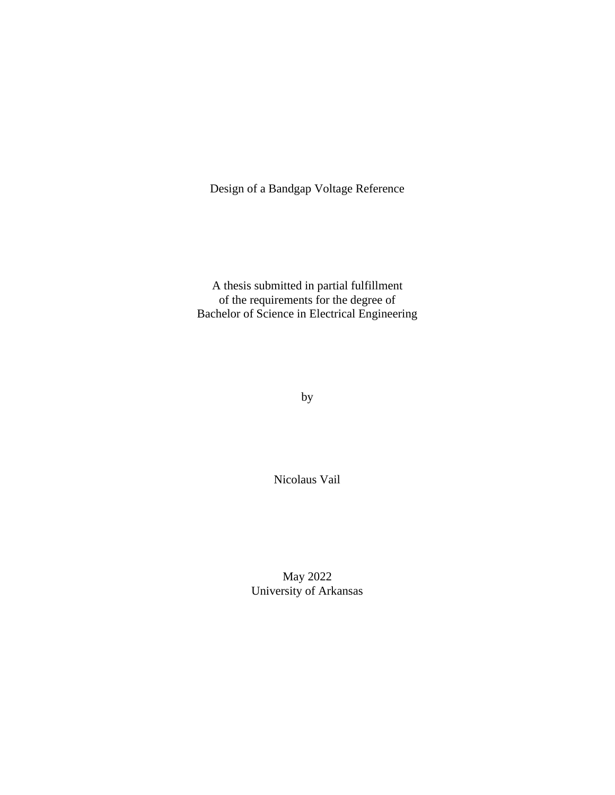Design of a Bandgap Voltage Reference

A thesis submitted in partial fulfillment of the requirements for the degree of Bachelor of Science in Electrical Engineering

by

Nicolaus Vail

May 2022 University of Arkansas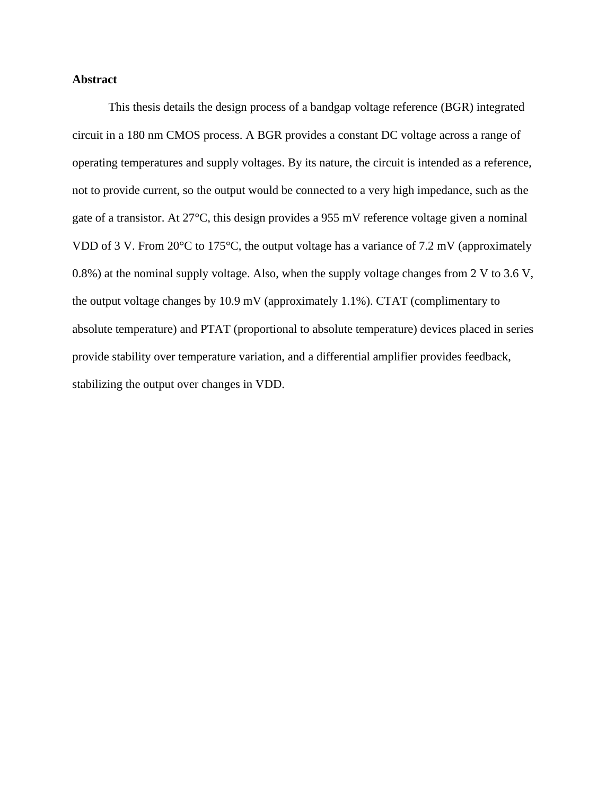## **Abstract**

This thesis details the design process of a bandgap voltage reference (BGR) integrated circuit in a 180 nm CMOS process. A BGR provides a constant DC voltage across a range of operating temperatures and supply voltages. By its nature, the circuit is intended as a reference, not to provide current, so the output would be connected to a very high impedance, such as the gate of a transistor. At 27°C, this design provides a 955 mV reference voltage given a nominal VDD of 3 V. From 20°C to 175°C, the output voltage has a variance of 7.2 mV (approximately 0.8%) at the nominal supply voltage. Also, when the supply voltage changes from 2 V to 3.6 V, the output voltage changes by 10.9 mV (approximately 1.1%). CTAT (complimentary to absolute temperature) and PTAT (proportional to absolute temperature) devices placed in series provide stability over temperature variation, and a differential amplifier provides feedback, stabilizing the output over changes in VDD.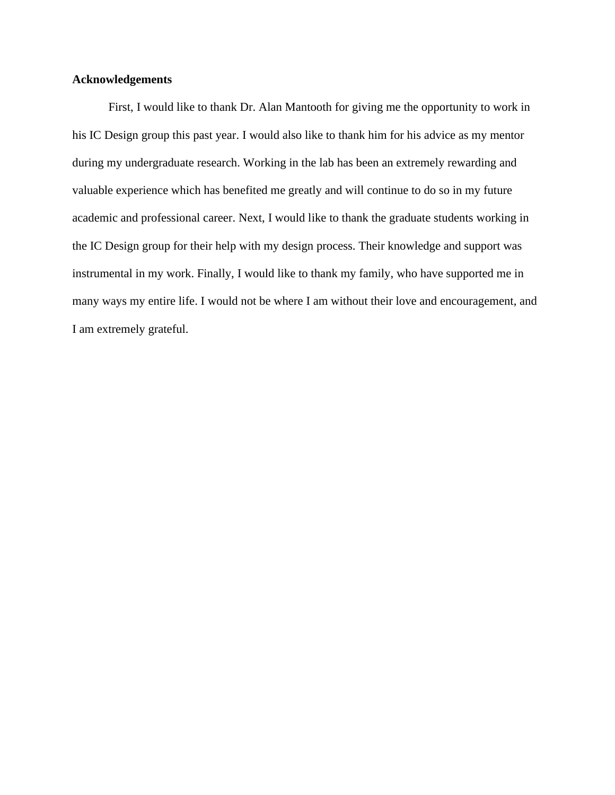### **Acknowledgements**

First, I would like to thank Dr. Alan Mantooth for giving me the opportunity to work in his IC Design group this past year. I would also like to thank him for his advice as my mentor during my undergraduate research. Working in the lab has been an extremely rewarding and valuable experience which has benefited me greatly and will continue to do so in my future academic and professional career. Next, I would like to thank the graduate students working in the IC Design group for their help with my design process. Their knowledge and support was instrumental in my work. Finally, I would like to thank my family, who have supported me in many ways my entire life. I would not be where I am without their love and encouragement, and I am extremely grateful.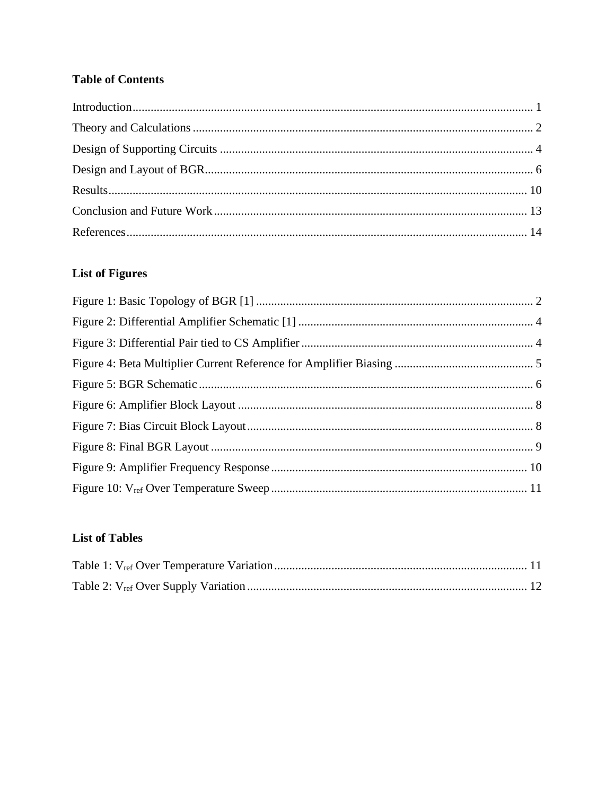# **Table of Contents**

# **List of Figures**

# **List of Tables**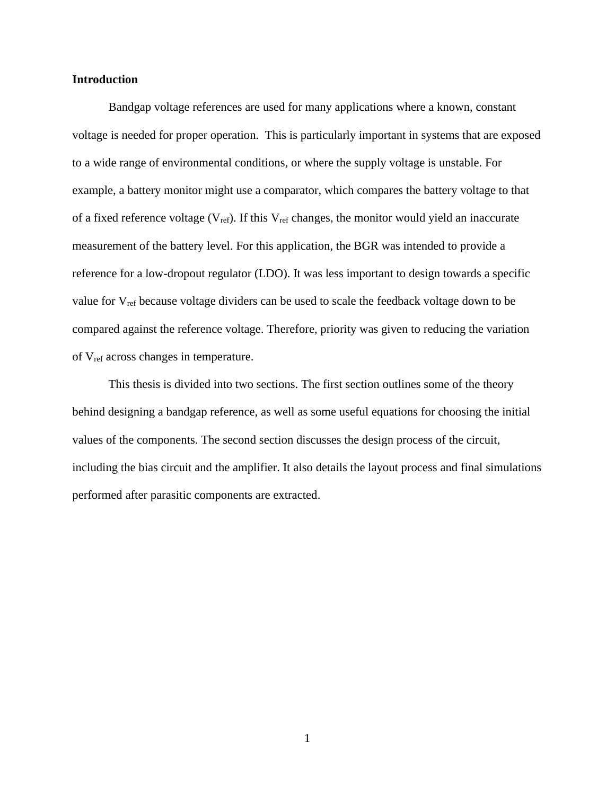### <span id="page-5-0"></span>**Introduction**

Bandgap voltage references are used for many applications where a known, constant voltage is needed for proper operation. This is particularly important in systems that are exposed to a wide range of environmental conditions, or where the supply voltage is unstable. For example, a battery monitor might use a comparator, which compares the battery voltage to that of a fixed reference voltage ( $V_{ref}$ ). If this  $V_{ref}$  changes, the monitor would yield an inaccurate measurement of the battery level. For this application, the BGR was intended to provide a reference for a low-dropout regulator (LDO). It was less important to design towards a specific value for Vref because voltage dividers can be used to scale the feedback voltage down to be compared against the reference voltage. Therefore, priority was given to reducing the variation of Vref across changes in temperature.

This thesis is divided into two sections. The first section outlines some of the theory behind designing a bandgap reference, as well as some useful equations for choosing the initial values of the components. The second section discusses the design process of the circuit, including the bias circuit and the amplifier. It also details the layout process and final simulations performed after parasitic components are extracted.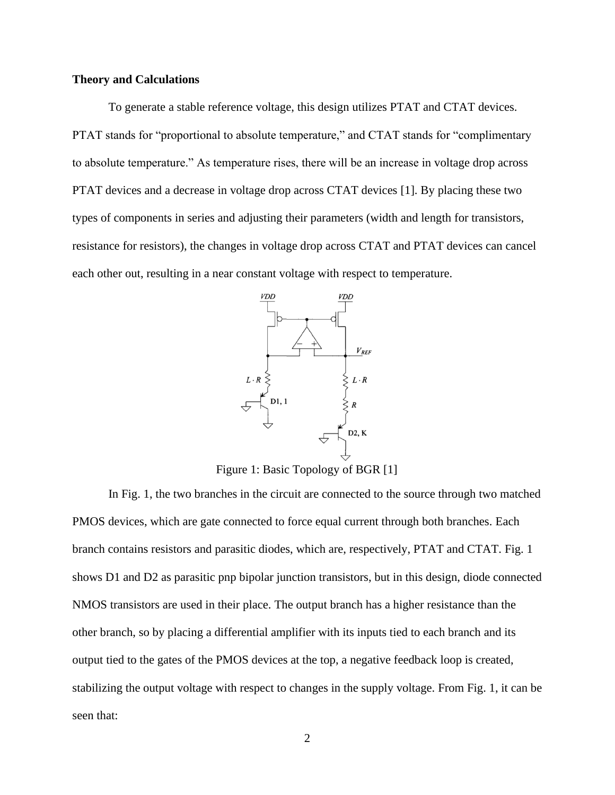### <span id="page-6-0"></span>**Theory and Calculations**

To generate a stable reference voltage, this design utilizes PTAT and CTAT devices. PTAT stands for "proportional to absolute temperature," and CTAT stands for "complimentary to absolute temperature." As temperature rises, there will be an increase in voltage drop across PTAT devices and a decrease in voltage drop across CTAT devices [1]. By placing these two types of components in series and adjusting their parameters (width and length for transistors, resistance for resistors), the changes in voltage drop across CTAT and PTAT devices can cancel each other out, resulting in a near constant voltage with respect to temperature.



Figure 1: Basic Topology of BGR [1]

In Fig. 1, the two branches in the circuit are connected to the source through two matched PMOS devices, which are gate connected to force equal current through both branches. Each branch contains resistors and parasitic diodes, which are, respectively, PTAT and CTAT. Fig. 1 shows D1 and D2 as parasitic pnp bipolar junction transistors, but in this design, diode connected NMOS transistors are used in their place. The output branch has a higher resistance than the other branch, so by placing a differential amplifier with its inputs tied to each branch and its output tied to the gates of the PMOS devices at the top, a negative feedback loop is created, stabilizing the output voltage with respect to changes in the supply voltage. From Fig. 1, it can be seen that: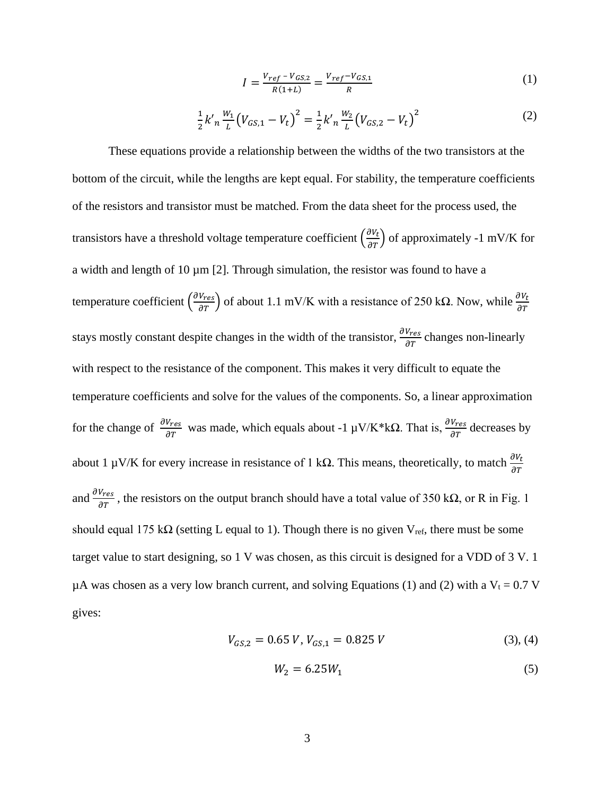$$
I = \frac{V_{ref} - V_{GS,2}}{R(1+L)} = \frac{V_{ref} - V_{GS,1}}{R}
$$
 (1)

$$
\frac{1}{2}k'_{n}\frac{w_{1}}{L}\left(V_{GS,1}-V_{t}\right)^{2}=\frac{1}{2}k'_{n}\frac{w_{2}}{L}\left(V_{GS,2}-V_{t}\right)^{2}\tag{2}
$$

These equations provide a relationship between the widths of the two transistors at the bottom of the circuit, while the lengths are kept equal. For stability, the temperature coefficients of the resistors and transistor must be matched. From the data sheet for the process used, the transistors have a threshold voltage temperature coefficient  $\left(\frac{\partial v_t}{\partial T}\right)$  of approximately -1 mV/K for a width and length of  $10 \mu m$  [2]. Through simulation, the resistor was found to have a temperature coefficient  $\left(\frac{\partial V_{res}}{\partial T}\right)$  of about 1.1 mV/K with a resistance of 250 kΩ. Now, while  $\frac{\partial V_t}{\partial T}$ stays mostly constant despite changes in the width of the transistor,  $\frac{\partial V_{res}}{\partial T}$  changes non-linearly with respect to the resistance of the component. This makes it very difficult to equate the temperature coefficients and solve for the values of the components. So, a linear approximation for the change of  $\frac{\partial V_{res}}{\partial T}$  was made, which equals about -1 μV/K\*kΩ. That is,  $\frac{\partial V_{res}}{\partial T}$  decreases by about 1 μV/K for every increase in resistance of 1 kΩ. This means, theoretically, to match  $\frac{\partial V_t}{\partial T}$ and  $\frac{\partial V_{res}}{\partial T}$ , the resistors on the output branch should have a total value of 350 k $\Omega$ , or R in Fig. 1 should equal 175 kΩ (setting L equal to 1). Though there is no given  $V_{ref}$ , there must be some target value to start designing, so 1 V was chosen, as this circuit is designed for a VDD of 3 V. 1 µA was chosen as a very low branch current, and solving Equations (1) and (2) with a  $V_t = 0.7$  V gives:

$$
V_{GS,2} = 0.65 \, V, \, V_{GS,1} = 0.825 \, V \tag{3}, \, (4)
$$

$$
W_2 = 6.25W_1\tag{5}
$$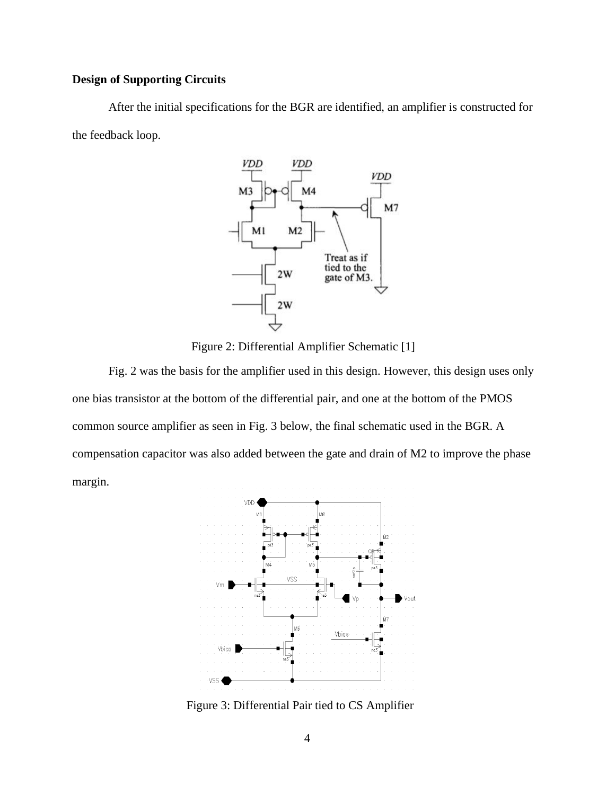# <span id="page-8-0"></span>**Design of Supporting Circuits**

After the initial specifications for the BGR are identified, an amplifier is constructed for the feedback loop.



Figure 2: Differential Amplifier Schematic [1]

Fig. 2 was the basis for the amplifier used in this design. However, this design uses only one bias transistor at the bottom of the differential pair, and one at the bottom of the PMOS common source amplifier as seen in Fig. 3 below, the final schematic used in the BGR. A compensation capacitor was also added between the gate and drain of M2 to improve the phase margin.



Figure 3: Differential Pair tied to CS Amplifier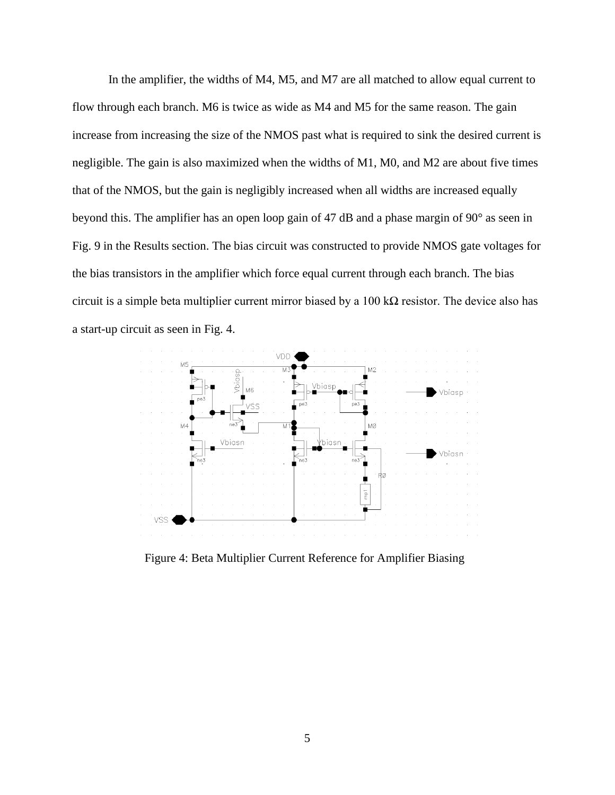In the amplifier, the widths of M4, M5, and M7 are all matched to allow equal current to flow through each branch. M6 is twice as wide as M4 and M5 for the same reason. The gain increase from increasing the size of the NMOS past what is required to sink the desired current is negligible. The gain is also maximized when the widths of M1, M0, and M2 are about five times that of the NMOS, but the gain is negligibly increased when all widths are increased equally beyond this. The amplifier has an open loop gain of 47 dB and a phase margin of 90° as seen in Fig. 9 in the Results section. The bias circuit was constructed to provide NMOS gate voltages for the bias transistors in the amplifier which force equal current through each branch. The bias circuit is a simple beta multiplier current mirror biased by a  $100 \text{ k}\Omega$  resistor. The device also has a start-up circuit as seen in Fig. 4.



Figure 4: Beta Multiplier Current Reference for Amplifier Biasing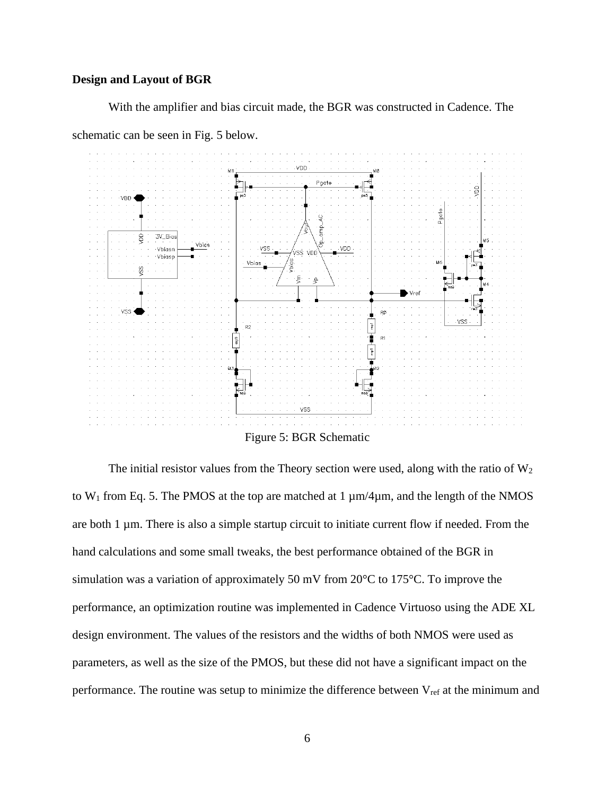### <span id="page-10-0"></span>**Design and Layout of BGR**

With the amplifier and bias circuit made, the BGR was constructed in Cadence. The

schematic can be seen in Fig. 5 below.



The initial resistor values from the Theory section were used, along with the ratio of  $W_2$ to  $W_1$  from Eq. 5. The PMOS at the top are matched at 1  $\mu$ m/4 $\mu$ m, and the length of the NMOS are both 1 µm. There is also a simple startup circuit to initiate current flow if needed. From the hand calculations and some small tweaks, the best performance obtained of the BGR in simulation was a variation of approximately 50 mV from 20°C to 175°C. To improve the performance, an optimization routine was implemented in Cadence Virtuoso using the ADE XL design environment. The values of the resistors and the widths of both NMOS were used as parameters, as well as the size of the PMOS, but these did not have a significant impact on the performance. The routine was setup to minimize the difference between  $V_{ref}$  at the minimum and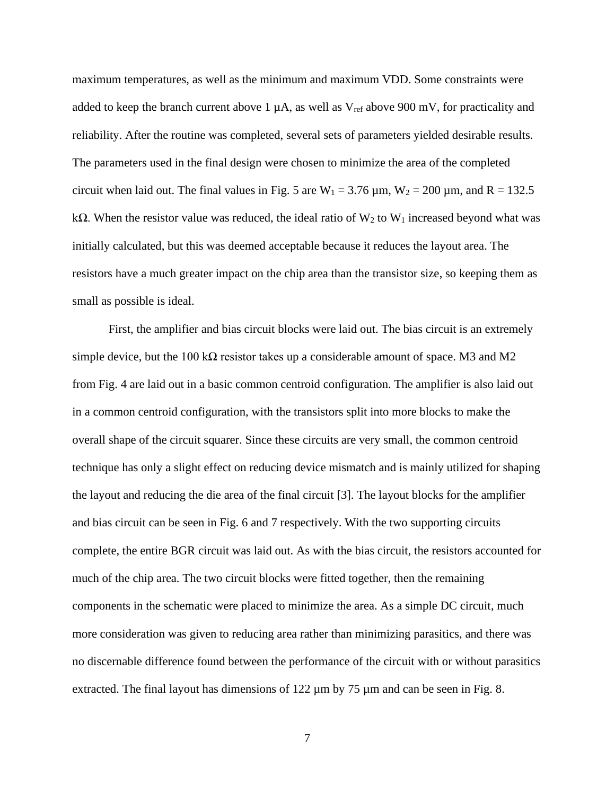maximum temperatures, as well as the minimum and maximum VDD. Some constraints were added to keep the branch current above 1  $\mu$ A, as well as  $V_{ref}$  above 900 mV, for practicality and reliability. After the routine was completed, several sets of parameters yielded desirable results. The parameters used in the final design were chosen to minimize the area of the completed circuit when laid out. The final values in Fig. 5 are  $W_1 = 3.76 \,\mu \text{m}$ ,  $W_2 = 200 \,\mu \text{m}$ , and R = 132.5 kΩ. When the resistor value was reduced, the ideal ratio of  $W_2$  to  $W_1$  increased beyond what was initially calculated, but this was deemed acceptable because it reduces the layout area. The resistors have a much greater impact on the chip area than the transistor size, so keeping them as small as possible is ideal.

First, the amplifier and bias circuit blocks were laid out. The bias circuit is an extremely simple device, but the 100 k $\Omega$  resistor takes up a considerable amount of space. M3 and M2 from Fig. 4 are laid out in a basic common centroid configuration. The amplifier is also laid out in a common centroid configuration, with the transistors split into more blocks to make the overall shape of the circuit squarer. Since these circuits are very small, the common centroid technique has only a slight effect on reducing device mismatch and is mainly utilized for shaping the layout and reducing the die area of the final circuit [3]. The layout blocks for the amplifier and bias circuit can be seen in Fig. 6 and 7 respectively. With the two supporting circuits complete, the entire BGR circuit was laid out. As with the bias circuit, the resistors accounted for much of the chip area. The two circuit blocks were fitted together, then the remaining components in the schematic were placed to minimize the area. As a simple DC circuit, much more consideration was given to reducing area rather than minimizing parasitics, and there was no discernable difference found between the performance of the circuit with or without parasitics extracted. The final layout has dimensions of 122  $\mu$ m by 75  $\mu$ m and can be seen in Fig. 8.

7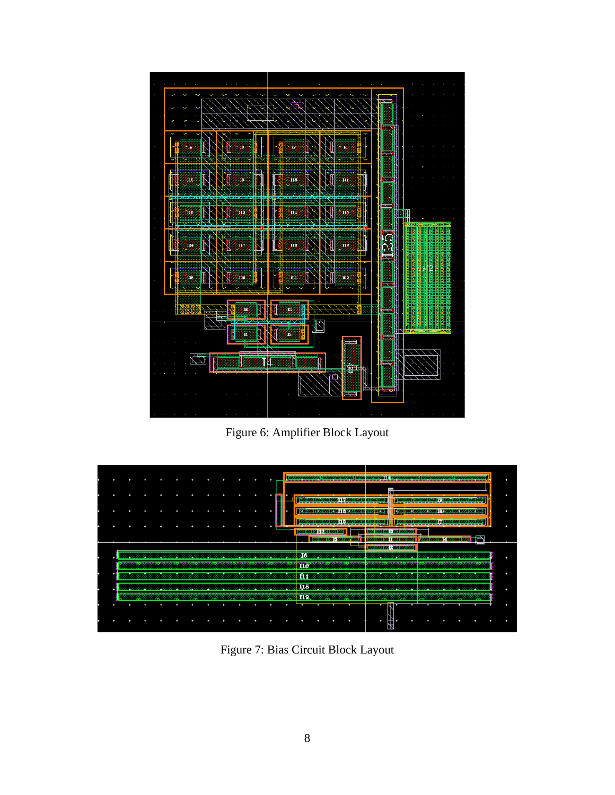

Figure 6: Amplifier Block Layout



Figure 7: Bias Circuit Block Layout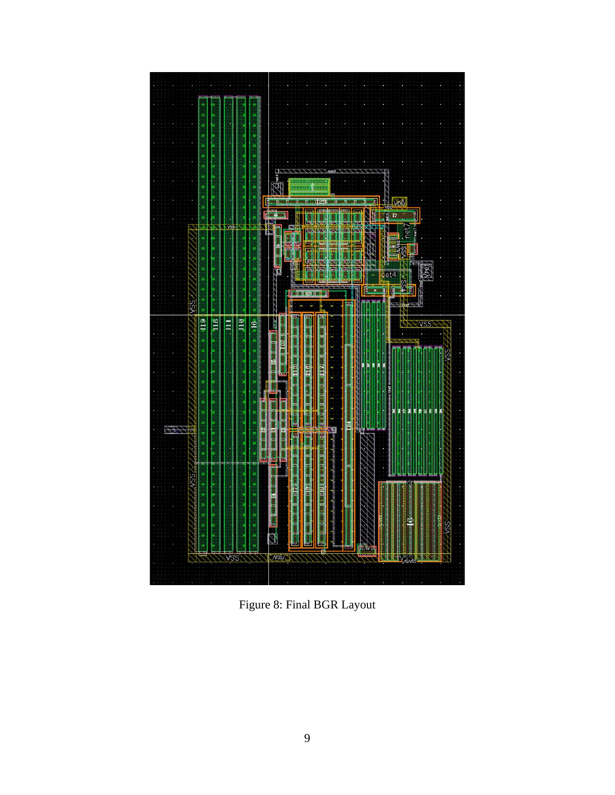

Figure 8: Final BGR Layout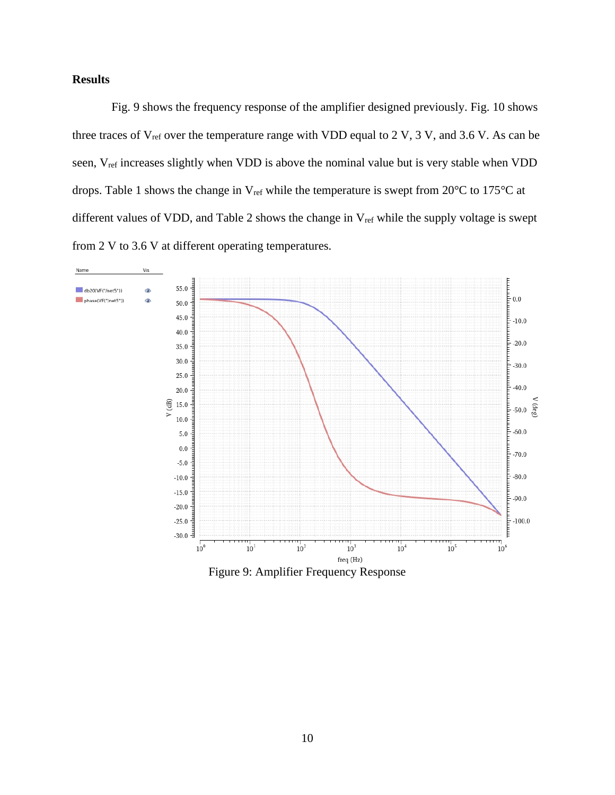# <span id="page-14-0"></span>**Results**

Fig. 9 shows the frequency response of the amplifier designed previously. Fig. 10 shows three traces of  $V_{ref}$  over the temperature range with VDD equal to 2 V, 3 V, and 3.6 V. As can be seen, V<sub>ref</sub> increases slightly when VDD is above the nominal value but is very stable when VDD drops. Table 1 shows the change in  $V_{ref}$  while the temperature is swept from 20 $^{\circ}$ C to 175 $^{\circ}$ C at different values of VDD, and Table 2 shows the change in V<sub>ref</sub> while the supply voltage is swept from 2 V to 3.6 V at different operating temperatures.



Figure 9: Amplifier Frequency Response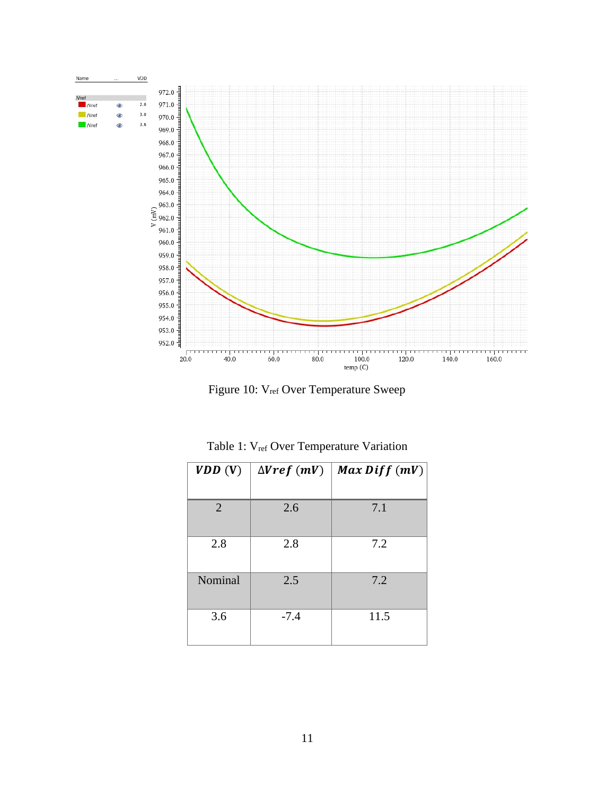

Figure 10: V<sub>ref</sub> Over Temperature Sweep

<span id="page-15-0"></span>

| VDD(V)         | $\Delta Vref$ (mV) | $Max\ Diff(mV)$ |
|----------------|--------------------|-----------------|
| $\overline{2}$ | 2.6                | 7.1             |
| 2.8            | 2.8                | 7.2             |
| Nominal        | 2.5                | 7.2             |
| 3.6            | $-7.4$             | 11.5            |

Table 1: V<sub>ref</sub> Over Temperature Variation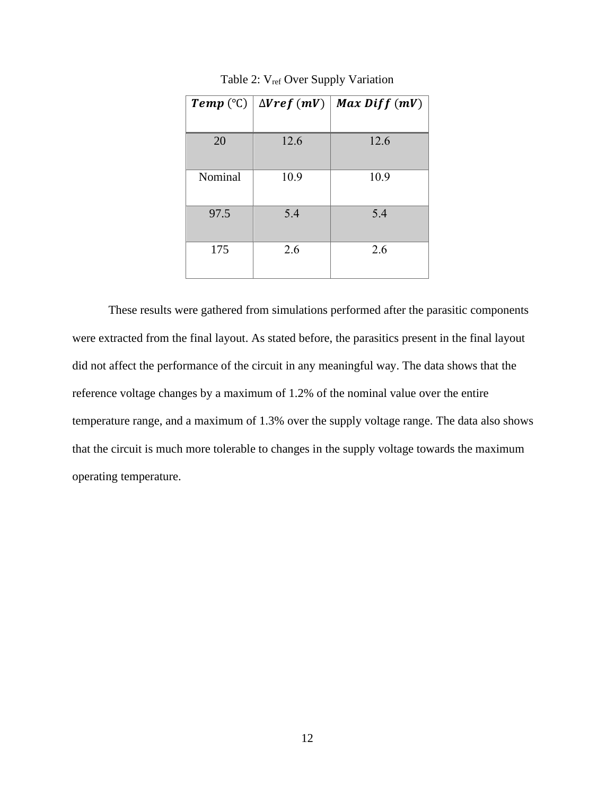<span id="page-16-0"></span>

|         | <b>Temp</b> (°C) $\Delta V$ ref (mV) | $Max\ Diff(mV)$ |
|---------|--------------------------------------|-----------------|
|         |                                      |                 |
| 20      | 12.6                                 | 12.6            |
| Nominal | 10.9                                 | 10.9            |
| 97.5    | 5.4                                  | 5.4             |
| 175     | 2.6                                  | 2.6             |

Table 2: V<sub>ref</sub> Over Supply Variation

These results were gathered from simulations performed after the parasitic components were extracted from the final layout. As stated before, the parasitics present in the final layout did not affect the performance of the circuit in any meaningful way. The data shows that the reference voltage changes by a maximum of 1.2% of the nominal value over the entire temperature range, and a maximum of 1.3% over the supply voltage range. The data also shows that the circuit is much more tolerable to changes in the supply voltage towards the maximum operating temperature.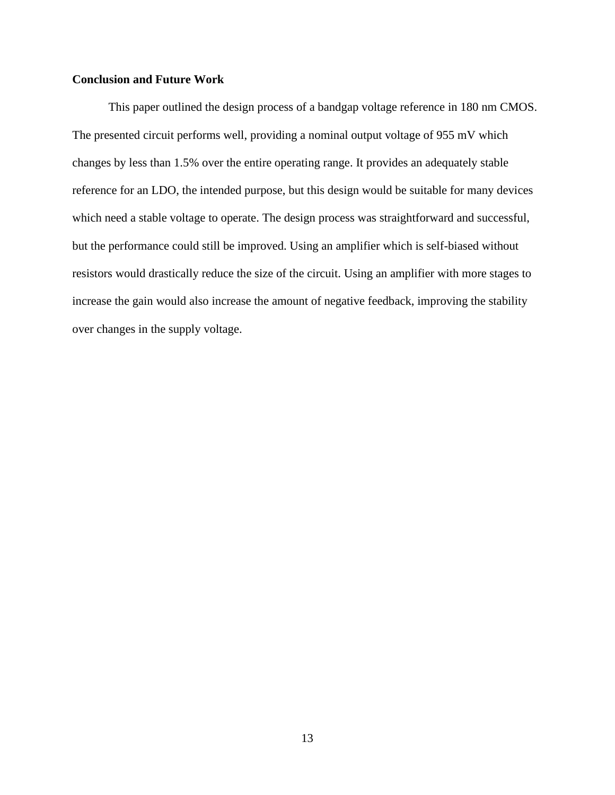## <span id="page-17-0"></span>**Conclusion and Future Work**

This paper outlined the design process of a bandgap voltage reference in 180 nm CMOS. The presented circuit performs well, providing a nominal output voltage of 955 mV which changes by less than 1.5% over the entire operating range. It provides an adequately stable reference for an LDO, the intended purpose, but this design would be suitable for many devices which need a stable voltage to operate. The design process was straightforward and successful, but the performance could still be improved. Using an amplifier which is self-biased without resistors would drastically reduce the size of the circuit. Using an amplifier with more stages to increase the gain would also increase the amount of negative feedback, improving the stability over changes in the supply voltage.